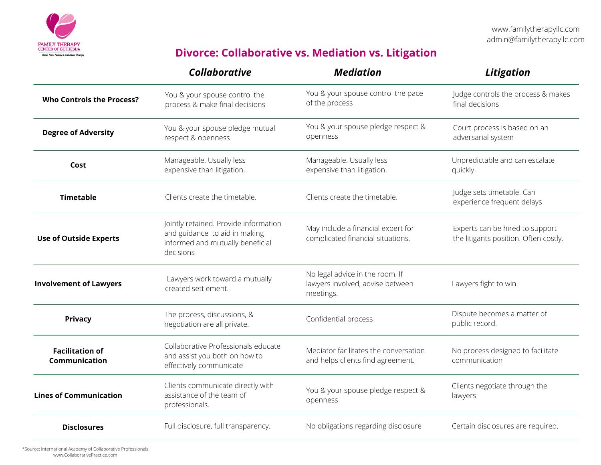

## **Divorce: Collaborative vs. Mediation vs. Litigation**

|                                         | <b>Collaborative</b>                                                                                                    | <b>Mediation</b>                                                                 | Litigation                                                               |
|-----------------------------------------|-------------------------------------------------------------------------------------------------------------------------|----------------------------------------------------------------------------------|--------------------------------------------------------------------------|
| <b>Who Controls the Process?</b>        | You & your spouse control the<br>process & make final decisions                                                         | You & your spouse control the pace<br>of the process                             | Judge controls the process & makes<br>final decisions                    |
| <b>Degree of Adversity</b>              | You & your spouse pledge mutual<br>respect & openness                                                                   | You & your spouse pledge respect &<br>openness                                   | Court process is based on an<br>adversarial system                       |
| Cost                                    | Manageable. Usually less<br>expensive than litigation.                                                                  | Manageable. Usually less<br>expensive than litigation.                           | Unpredictable and can escalate<br>quickly.                               |
| <b>Timetable</b>                        | Clients create the timetable.                                                                                           | Clients create the timetable.                                                    | Judge sets timetable. Can<br>experience frequent delays                  |
| <b>Use of Outside Experts</b>           | Jointly retained. Provide information<br>and guidance to aid in making<br>informed and mutually beneficial<br>decisions | May include a financial expert for<br>complicated financial situations.          | Experts can be hired to support<br>the litigants position. Often costly. |
| <b>Involvement of Lawyers</b>           | Lawyers work toward a mutually<br>created settlement.                                                                   | No legal advice in the room. If<br>lawyers involved, advise between<br>meetings. | Lawyers fight to win.                                                    |
| Privacy                                 | The process, discussions, &<br>negotiation are all private.                                                             | Confidential process                                                             | Dispute becomes a matter of<br>public record.                            |
| <b>Facilitation of</b><br>Communication | Collaborative Professionals educate<br>and assist you both on how to<br>effectively communicate                         | Mediator facilitates the conversation<br>and helps clients find agreement.       | No process designed to facilitate<br>communication                       |
| <b>Lines of Communication</b>           | Clients communicate directly with<br>assistance of the team of<br>professionals.                                        | You & your spouse pledge respect &<br>openness                                   | Clients negotiate through the<br>lawyers                                 |
| <b>Disclosures</b>                      | Full disclosure, full transparency.                                                                                     | No obligations regarding disclosure                                              | Certain disclosures are required.                                        |